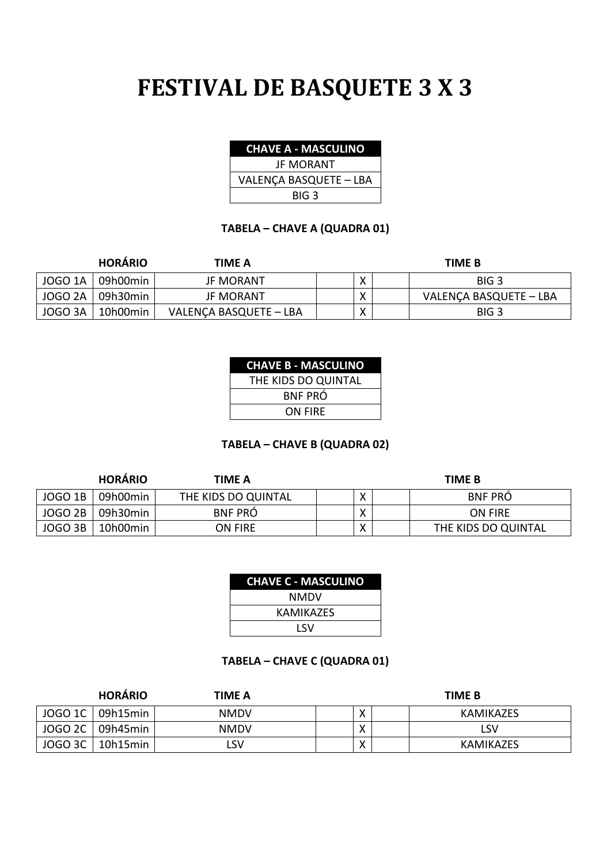# **FESTIVAL DE BASQUETE 3 X 3**

| <b>CHAVE A - MASCULINO</b> |  |  |  |
|----------------------------|--|--|--|
|                            |  |  |  |

JF MORANT VALENÇA BASQUETE – LBA BIG 3

#### **TABELA – CHAVE A (QUADRA 01)**

|                    | <b>HORARIO</b> | TIME A                 |  | TIME B                 |
|--------------------|----------------|------------------------|--|------------------------|
| <b>JOGO 1A</b>     | 09h00min       | <b>JF MORANT</b>       |  | BIG <sub>3</sub>       |
| JOGO <sub>2A</sub> | 09h30min       | <b>JF MORANT</b>       |  | VALENÇA BASQUETE - LBA |
| JOGO 3A            | 10h00min       | VALENÇA BASQUETE - LBA |  | BIG <sub>3</sub>       |

#### **CHAVE B - MASCULINO** THE KIDE DO QUINTAL

| THE MDS DO QUINTAL |  |
|--------------------|--|
| <b>BNF PRÓ</b>     |  |
| ON FIRE            |  |

#### **TABELA – CHAVE B (QUADRA 02)**

|                | <b>HORÁRIO</b> | TIME A              |                   | <b>TIME B</b>       |
|----------------|----------------|---------------------|-------------------|---------------------|
| <b>JOGO 1B</b> | 09h00min       | THE KIDS DO QUINTAL | v                 | <b>BNF PRO</b>      |
| JOGO 2B        | 09h30min       | <b>BNF PRO</b>      | $\checkmark$<br>⌒ | ON FIRE             |
| JOGO 3B        | 10h00min       | ON FIRE             | $\checkmark$<br>∧ | THE KIDS DO QUINTAL |

| <b>CHAVE C - MASCULINO</b> |
|----------------------------|
| NMDV                       |
| KAMIKAZFS                  |
| 1 SV                       |

### **TABELA – CHAVE C (QUADRA 01)**

|         | <b>HORÁRIO</b>     | TIME A      |   | <b>TIME B</b> |
|---------|--------------------|-------------|---|---------------|
|         | JOGO 1C   09h15min | <b>NMDV</b> |   | KAMIKAZES     |
| JOGO 2C | 09h45min           | <b>NMDV</b> |   | LSV           |
| JOGO 3C | 10h15min           | LSV         | ∧ | KAMIKAZES     |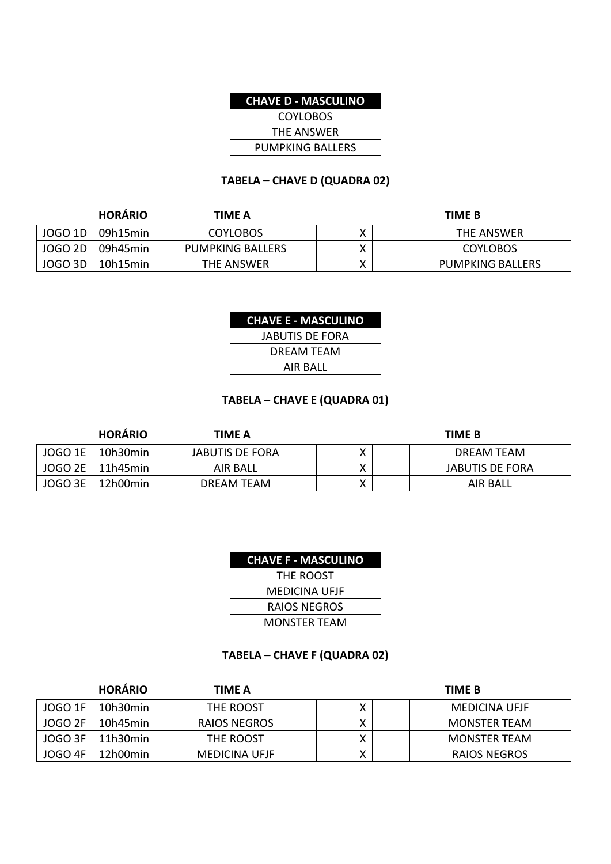#### **CHAVE D - MASCULINO**

COYLOBOS THE ANSWER PUMPKING BALLERS

#### **TABELA – CHAVE D (QUADRA 02)**

|                | <b>HORARIO</b> | TIME A           |                           | <b>TIME B</b>           |
|----------------|----------------|------------------|---------------------------|-------------------------|
| JOGO 1D        | 09h15min       | <b>COYLOBOS</b>  | v<br>$\lambda$            | THE ANSWER              |
| <b>JOGO 2D</b> | 09h45min       | PUMPKING BALLERS | $\checkmark$<br>$\lambda$ | <b>COYLOBOS</b>         |
| <b>JOGO 3D</b> | 10h15min       | THE ANSWER       | v<br>Λ                    | <b>PUMPKING BALLERS</b> |

| <b>CHAVE E - MASCULINO</b> |  |
|----------------------------|--|
| JABUTIS DE FORA            |  |
| DRFAM TFAM                 |  |
| <b>AIR BALL</b>            |  |

#### **TABELA – CHAVE E (QUADRA 01)**

|                | <b>HORÁRIO</b> | TIME A                 |                           | <b>TIME B</b>   |
|----------------|----------------|------------------------|---------------------------|-----------------|
| <b>JOGO 1E</b> | 10h30min       | <b>JABUTIS DE FORA</b> | $\checkmark$<br>∧         | DREAM TEAM      |
| JOGO 2E        | 11h45min       | AIR BALL               | $\checkmark$              | JABUTIS DE FORA |
| JOGO 3E        | 12h00min       | DREAM TEAM             | $\mathbf{v}$<br>$\lambda$ | <b>AIR BALL</b> |

| <b>CHAVE F - MASCULINO</b> |
|----------------------------|
| THF ROOST                  |
| MEDICINA UFJF              |
| RAIOS NEGROS               |
| MONSTFR TFAM               |

#### **TABELA – CHAVE F (QUADRA 02)**

|         | <b>HORÁRIO</b> | TIME A        |                   | <b>TIME B</b>       |
|---------|----------------|---------------|-------------------|---------------------|
| JOGO 1F | 10h30min       | THE ROOST     | $\checkmark$      | MEDICINA UFJF       |
| JOGO 2F | 10h45min       | RAIOS NEGROS  | $\checkmark$      | MONSTER TEAM        |
| JOGO 3F | 11h30min       | THE ROOST     | $\checkmark$<br>∧ | <b>MONSTER TEAM</b> |
| JOGO 4F | 12h00min       | MEDICINA UFJF | $\checkmark$<br>∧ | RAIOS NEGROS        |